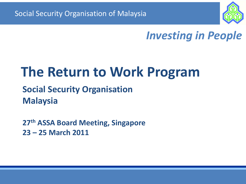

### *Investing in People*

# **The Return to Work Program**

### **Social Security Organisation Malaysia**

**27th ASSA Board Meeting, Singapore 23 – 25 March 2011**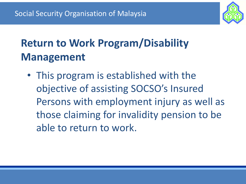

## **Return to Work Program/Disability Management**

• This program is established with the objective of assisting SOCSO's Insured Persons with employment injury as well as those claiming for invalidity pension to be able to return to work.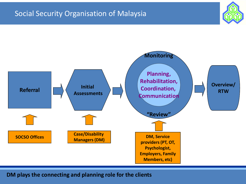

**DM plays the connecting and planning role for the clients**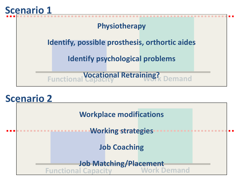

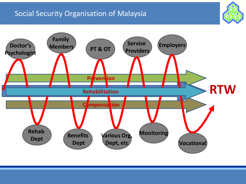

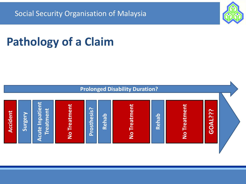## **Pathology of a Claim**



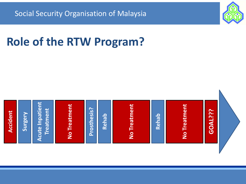

## **Role of the RTW Program?**

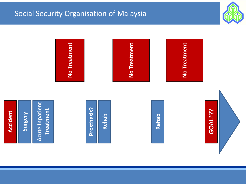

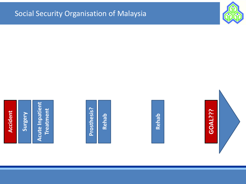

**Acute Inpatient Acute Inpatient Treatment**

Prosthesis? **Prosthesis?**

**Rehab**





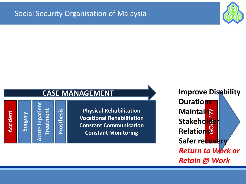

**Accident**

**Surgery**

**Acute Inpatient Acute Inpatient Treatment**

**Prosthesis**

**Vocational Rehabilitation<br>Constant Communication Physical Rehabilitation Constant Communication Constant Monitoring**

**GOAL??? Improve Disability Durations Maintain Stakeholder Relations Safer recovery** *Return to Work or Retain @ Work*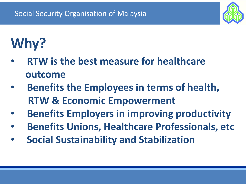

# **Why?**

- **RTW is the best measure for healthcare outcome**
- **Benefits the Employees in terms of health, RTW & Economic Empowerment**
- **Benefits Employers in improving productivity**
- **Benefits Unions, Healthcare Professionals, etc**
- **Social Sustainability and Stabilization**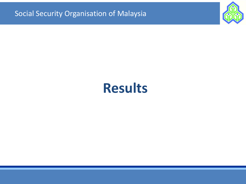

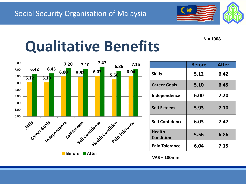

**N = 1008**

# **Qualitative Benefits**



|                                   | <b>Before</b> | <b>After</b> |
|-----------------------------------|---------------|--------------|
| <b>Skills</b>                     | 5.12          | 6.42         |
| <b>Career Goals</b>               | 5.10          | 6.45         |
| Independence                      | 6.00          | 7.20         |
| <b>Self Esteem</b>                | 5.93          | 7.10         |
| <b>Self Confidence</b>            | 6.03          | 7.47         |
| <b>Health</b><br><b>Condition</b> | 5.56          | 6.86         |
| <b>Pain Tolerance</b>             | 6.04          | 7.15         |

**VAS – 100mm**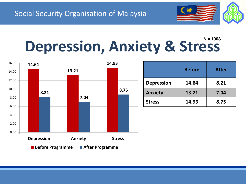

#### **Depression, Anxiety & Stress N = 1008**



|                   | <b>Before</b> | <b>After</b> |
|-------------------|---------------|--------------|
| <b>Depression</b> | 14.64         | 8.21         |
| <b>Anxiety</b>    | 13.21         | 7.04         |
| <b>Stress</b>     | 14.93         | 8.75         |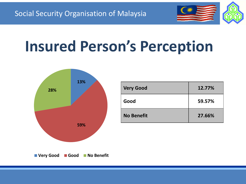

# **Insured Person's Perception**



| <b>Very Good</b>  | 12.77% |
|-------------------|--------|
| Good              | 59.57% |
| <b>No Benefit</b> | 27.66% |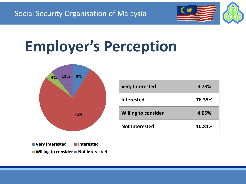

# **Employer's Perception**



| <b>Very Interested</b>     | 8.78%  |
|----------------------------|--------|
| <b>Interested</b>          | 76.35% |
| <b>Willing to consider</b> | 4.05%  |
| <b>Not Interested</b>      | 10.81% |

■ Willing to consider ■ Not Interested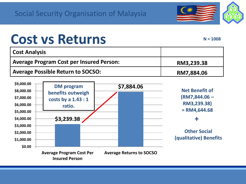

## **Cost vs Returns**

**N = 1008**

**+**

| <b>Cost Analysis</b>                            |            |
|-------------------------------------------------|------------|
| <b>Average Program Cost per Insured Person:</b> | RM3,239.38 |
| <b>Average Possible Return to SOCSO:</b>        | RM7,884.06 |

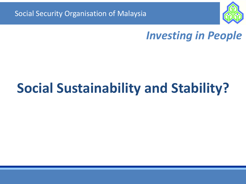

### *Investing in People*

# **Social Sustainability and Stability?**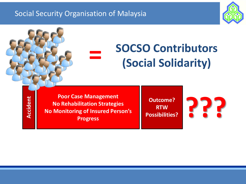

## **SOCSO Contributors (Social Solidarity)**

**Accident**

**Poor Case Management No Rehabilitation Strategies No Monitoring of Insured Person's Progress**

**=**

**Outcome? RTW Possibilities?**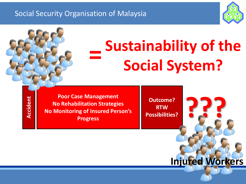

### **= Sustainability of the Social System?**

**Accident**

**Poor Case Management No Rehabilitation Strategies No Monitoring of Insured Person's Progress**

**Outcome? RTW Possibilities?** 

**Injured Workers**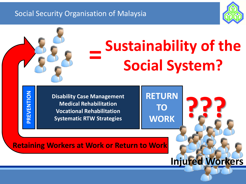

#### **EVENTIC Poor Case Management Disability Case Management Medical Rehabilitation No Monitorial Rehabilitation Progress Systematic RTW Strategies Outcome? RETURN RTW TO POSSIBING = Sustainability of the To the Social System Social System?PREVENTION WORK Retaining Workers at Work or Return to Work Injured Workers**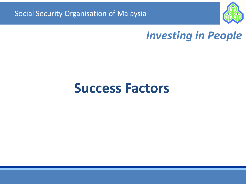

### *Investing in People*

### **Success Factors**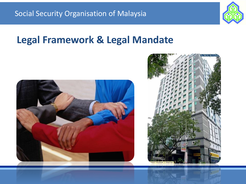

### **Legal Framework & Legal Mandate**



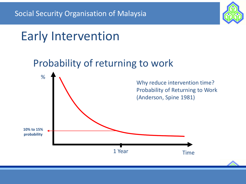

## Early Intervention

### Probability of returning to work

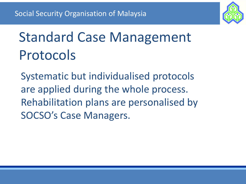

# Standard Case Management Protocols

Systematic but individualised protocols are applied during the whole process. Rehabilitation plans are personalised by SOCSO's Case Managers.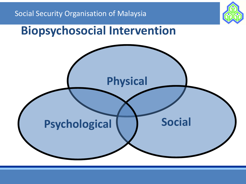

### **Biopsychosocial Intervention**

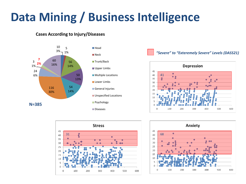## **Data Mining / Business Intelligence**

#### **Cases According to Injury/Diseases**



#### *"Severe" to "Exteremely Severe" Levels (DASS21)*





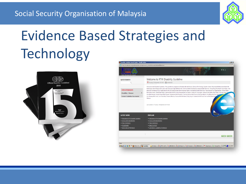

# Evidence Based Strategies and **Technology**



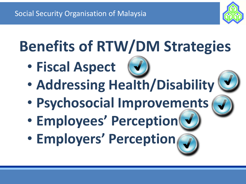**Benefits of RTW/DM Strategies**

- **Fiscal Aspect**
- **Addressing Health/Disability**
- **Psychosocial Improvements**
- **Employees' Perception**
- **Employers' Perception**